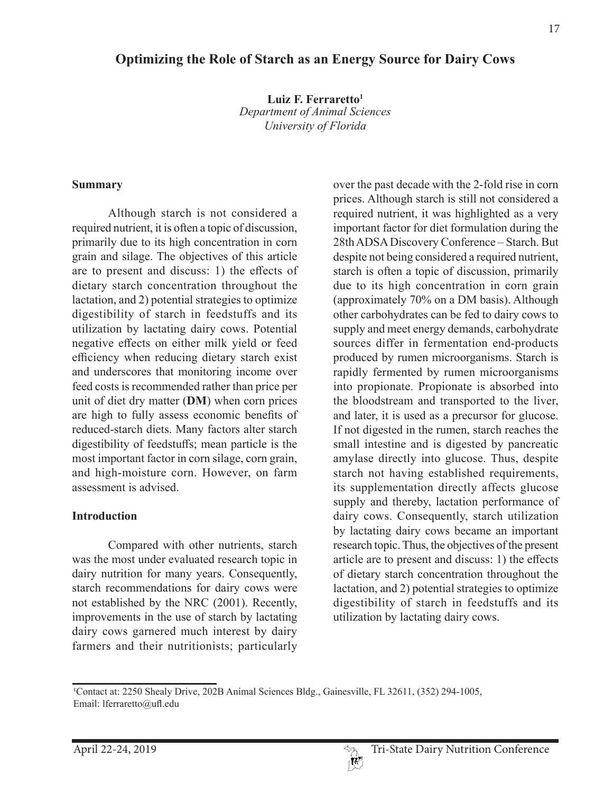# **Optimizing the Role of Starch as an Energy Source for Dairy Cows**

**Luiz F. Ferraretto1** *Department of Animal Sciences University of Florida*

#### **Summary**

Although starch is not considered a required nutrient, it is often a topic of discussion, primarily due to its high concentration in corn grain and silage. The objectives of this article are to present and discuss: 1) the effects of dietary starch concentration throughout the lactation, and 2) potential strategies to optimize digestibility of starch in feedstuffs and its utilization by lactating dairy cows. Potential negative effects on either milk yield or feed efficiency when reducing dietary starch exist and underscores that monitoring income over feed costs is recommended rather than price per unit of diet dry matter (**DM**) when corn prices are high to fully assess economic benefits of reduced-starch diets. Many factors alter starch digestibility of feedstuffs; mean particle is the most important factor in corn silage, corn grain, and high-moisture corn. However, on farm assessment is advised.

#### **Introduction**

Compared with other nutrients, starch was the most under evaluated research topic in dairy nutrition for many years. Consequently, starch recommendations for dairy cows were not established by the NRC (2001). Recently, improvements in the use of starch by lactating dairy cows garnered much interest by dairy farmers and their nutritionists; particularly over the past decade with the 2-fold rise in corn prices. Although starch is still not considered a required nutrient, it was highlighted as a very important factor for diet formulation during the 28th ADSA Discovery Conference – Starch. But despite not being considered a required nutrient, starch is often a topic of discussion, primarily due to its high concentration in corn grain (approximately 70% on a DM basis). Although other carbohydrates can be fed to dairy cows to supply and meet energy demands, carbohydrate sources differ in fermentation end-products produced by rumen microorganisms. Starch is rapidly fermented by rumen microorganisms into propionate. Propionate is absorbed into the bloodstream and transported to the liver, and later, it is used as a precursor for glucose. If not digested in the rumen, starch reaches the small intestine and is digested by pancreatic amylase directly into glucose. Thus, despite starch not having established requirements, its supplementation directly affects glucose supply and thereby, lactation performance of dairy cows. Consequently, starch utilization by lactating dairy cows became an important research topic. Thus, the objectives of the present article are to present and discuss: 1) the effects of dietary starch concentration throughout the lactation, and 2) potential strategies to optimize digestibility of starch in feedstuffs and its utilization by lactating dairy cows.

<sup>&</sup>lt;sup>1</sup>Contact at: 2250 Shealy Drive, 202B Animal Sciences Bldg., Gainesville, FL 32611, (352) 294-1005, Email: lferraretto@ufl.edu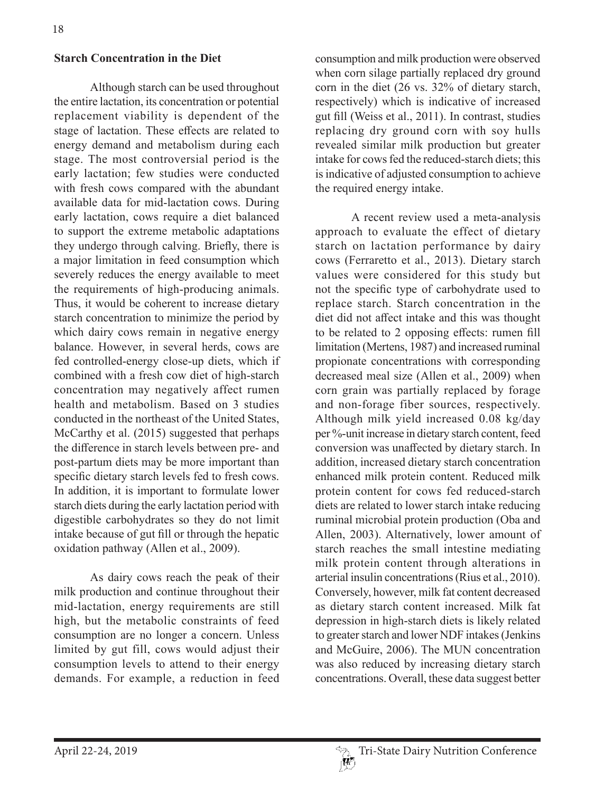### **Starch Concentration in the Diet**

Although starch can be used throughout the entire lactation, its concentration or potential replacement viability is dependent of the stage of lactation. These effects are related to energy demand and metabolism during each stage. The most controversial period is the early lactation; few studies were conducted with fresh cows compared with the abundant available data for mid-lactation cows. During early lactation, cows require a diet balanced to support the extreme metabolic adaptations they undergo through calving. Briefly, there is a major limitation in feed consumption which severely reduces the energy available to meet the requirements of high-producing animals. Thus, it would be coherent to increase dietary starch concentration to minimize the period by which dairy cows remain in negative energy balance. However, in several herds, cows are fed controlled-energy close-up diets, which if combined with a fresh cow diet of high-starch concentration may negatively affect rumen health and metabolism. Based on 3 studies conducted in the northeast of the United States, McCarthy et al. (2015) suggested that perhaps the difference in starch levels between pre- and post-partum diets may be more important than specific dietary starch levels fed to fresh cows. In addition, it is important to formulate lower starch diets during the early lactation period with digestible carbohydrates so they do not limit intake because of gut fill or through the hepatic oxidation pathway (Allen et al., 2009).

As dairy cows reach the peak of their milk production and continue throughout their mid-lactation, energy requirements are still high, but the metabolic constraints of feed consumption are no longer a concern. Unless limited by gut fill, cows would adjust their consumption levels to attend to their energy demands. For example, a reduction in feed

consumption and milk production were observed when corn silage partially replaced dry ground corn in the diet (26 vs. 32% of dietary starch, respectively) which is indicative of increased gut fill (Weiss et al., 2011). In contrast, studies replacing dry ground corn with soy hulls revealed similar milk production but greater intake for cows fed the reduced-starch diets; this is indicative of adjusted consumption to achieve the required energy intake.

A recent review used a meta-analysis approach to evaluate the effect of dietary starch on lactation performance by dairy cows (Ferraretto et al., 2013). Dietary starch values were considered for this study but not the specific type of carbohydrate used to replace starch. Starch concentration in the diet did not affect intake and this was thought to be related to 2 opposing effects: rumen fill limitation (Mertens, 1987) and increased ruminal propionate concentrations with corresponding decreased meal size (Allen et al., 2009) when corn grain was partially replaced by forage and non-forage fiber sources, respectively. Although milk yield increased 0.08 kg/day per %-unit increase in dietary starch content, feed conversion was unaffected by dietary starch. In addition, increased dietary starch concentration enhanced milk protein content. Reduced milk protein content for cows fed reduced-starch diets are related to lower starch intake reducing ruminal microbial protein production (Oba and Allen, 2003). Alternatively, lower amount of starch reaches the small intestine mediating milk protein content through alterations in arterial insulin concentrations (Rius et al., 2010). Conversely, however, milk fat content decreased as dietary starch content increased. Milk fat depression in high-starch diets is likely related to greater starch and lower NDF intakes (Jenkins and McGuire, 2006). The MUN concentration was also reduced by increasing dietary starch concentrations. Overall, these data suggest better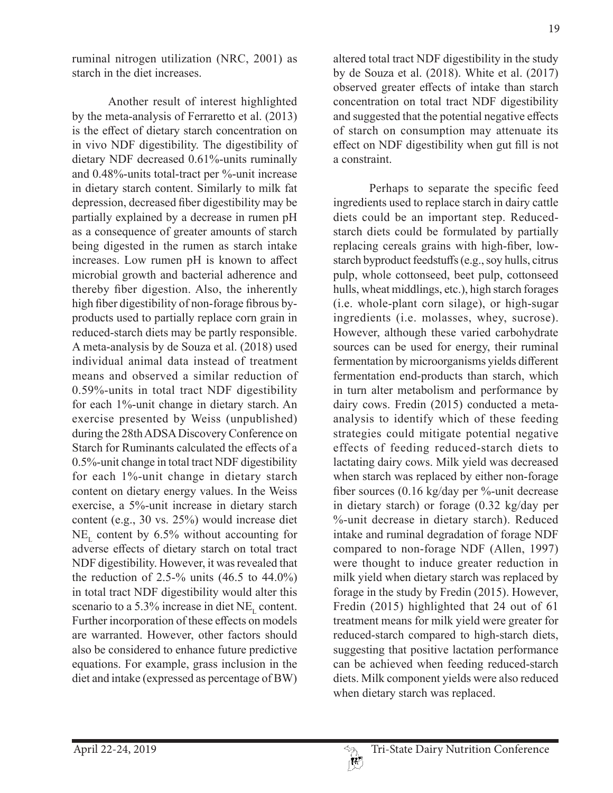ruminal nitrogen utilization (NRC, 2001) as starch in the diet increases.

Another result of interest highlighted by the meta-analysis of Ferraretto et al. (2013) is the effect of dietary starch concentration on in vivo NDF digestibility. The digestibility of dietary NDF decreased 0.61%-units ruminally and 0.48%-units total-tract per %-unit increase in dietary starch content. Similarly to milk fat depression, decreased fiber digestibility may be partially explained by a decrease in rumen pH as a consequence of greater amounts of starch being digested in the rumen as starch intake increases. Low rumen pH is known to affect microbial growth and bacterial adherence and thereby fiber digestion. Also, the inherently high fiber digestibility of non-forage fibrous byproducts used to partially replace corn grain in reduced-starch diets may be partly responsible. A meta-analysis by de Souza et al. (2018) used individual animal data instead of treatment means and observed a similar reduction of 0.59%-units in total tract NDF digestibility for each 1%-unit change in dietary starch. An exercise presented by Weiss (unpublished) during the 28th ADSA Discovery Conference on Starch for Ruminants calculated the effects of a 0.5%-unit change in total tract NDF digestibility for each 1%-unit change in dietary starch content on dietary energy values. In the Weiss exercise, a 5%-unit increase in dietary starch content (e.g., 30 vs. 25%) would increase diet  $NE<sub>r</sub>$  content by 6.5% without accounting for adverse effects of dietary starch on total tract NDF digestibility. However, it was revealed that the reduction of 2.5-% units  $(46.5 \text{ to } 44.0\%)$ in total tract NDF digestibility would alter this scenario to a 5.3% increase in diet  $NE<sub>r</sub>$  content. Further incorporation of these effects on models are warranted. However, other factors should also be considered to enhance future predictive equations. For example, grass inclusion in the diet and intake (expressed as percentage of BW)

altered total tract NDF digestibility in the study by de Souza et al. (2018). White et al. (2017) observed greater effects of intake than starch concentration on total tract NDF digestibility and suggested that the potential negative effects of starch on consumption may attenuate its effect on NDF digestibility when gut fill is not a constraint.

Perhaps to separate the specific feed ingredients used to replace starch in dairy cattle diets could be an important step. Reducedstarch diets could be formulated by partially replacing cereals grains with high-fiber, lowstarch byproduct feedstuffs (e.g., soy hulls, citrus pulp, whole cottonseed, beet pulp, cottonseed hulls, wheat middlings, etc.), high starch forages (i.e. whole-plant corn silage), or high-sugar ingredients (i.e. molasses, whey, sucrose). However, although these varied carbohydrate sources can be used for energy, their ruminal fermentation by microorganisms yields different fermentation end-products than starch, which in turn alter metabolism and performance by dairy cows. Fredin (2015) conducted a metaanalysis to identify which of these feeding strategies could mitigate potential negative effects of feeding reduced-starch diets to lactating dairy cows. Milk yield was decreased when starch was replaced by either non-forage fiber sources (0.16 kg/day per %-unit decrease in dietary starch) or forage (0.32 kg/day per %-unit decrease in dietary starch). Reduced intake and ruminal degradation of forage NDF compared to non-forage NDF (Allen, 1997) were thought to induce greater reduction in milk yield when dietary starch was replaced by forage in the study by Fredin (2015). However, Fredin (2015) highlighted that 24 out of 61 treatment means for milk yield were greater for reduced-starch compared to high-starch diets, suggesting that positive lactation performance can be achieved when feeding reduced-starch diets. Milk component yields were also reduced when dietary starch was replaced.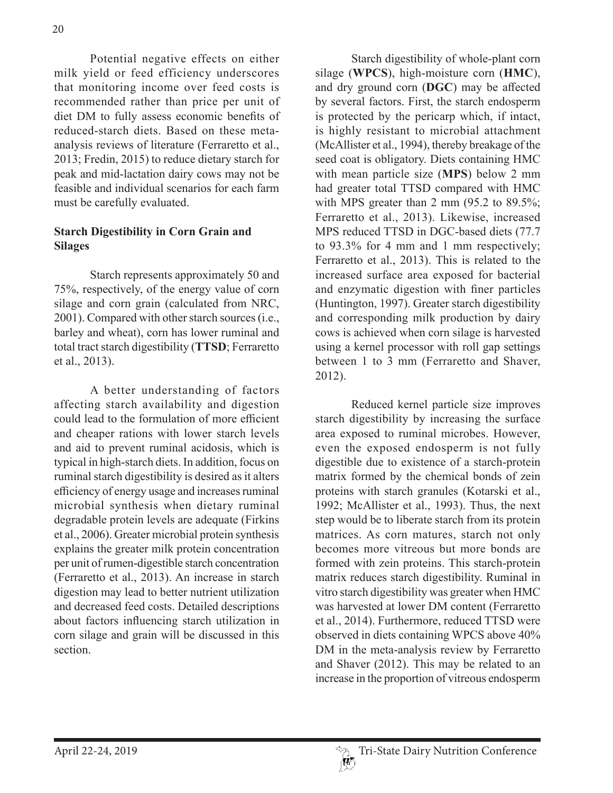Potential negative effects on either milk yield or feed efficiency underscores that monitoring income over feed costs is recommended rather than price per unit of diet DM to fully assess economic benefits of reduced-starch diets. Based on these metaanalysis reviews of literature (Ferraretto et al., 2013; Fredin, 2015) to reduce dietary starch for peak and mid-lactation dairy cows may not be feasible and individual scenarios for each farm must be carefully evaluated.

# **Starch Digestibility in Corn Grain and Silages**

Starch represents approximately 50 and 75%, respectively, of the energy value of corn silage and corn grain (calculated from NRC, 2001). Compared with other starch sources (i.e., barley and wheat), corn has lower ruminal and total tract starch digestibility (**TTSD**; Ferraretto et al., 2013).

A better understanding of factors affecting starch availability and digestion could lead to the formulation of more efficient and cheaper rations with lower starch levels and aid to prevent ruminal acidosis, which is typical in high-starch diets. In addition, focus on ruminal starch digestibility is desired as it alters efficiency of energy usage and increases ruminal microbial synthesis when dietary ruminal degradable protein levels are adequate (Firkins et al., 2006). Greater microbial protein synthesis explains the greater milk protein concentration per unit of rumen-digestible starch concentration (Ferraretto et al., 2013). An increase in starch digestion may lead to better nutrient utilization and decreased feed costs. Detailed descriptions about factors influencing starch utilization in corn silage and grain will be discussed in this section.

Starch digestibility of whole-plant corn silage (**WPCS**), high-moisture corn (**HMC**), and dry ground corn (**DGC**) may be affected by several factors. First, the starch endosperm is protected by the pericarp which, if intact, is highly resistant to microbial attachment (McAllister et al., 1994), thereby breakage of the seed coat is obligatory. Diets containing HMC with mean particle size (**MPS**) below 2 mm had greater total TTSD compared with HMC with MPS greater than 2 mm (95.2 to 89.5%; Ferraretto et al., 2013). Likewise, increased MPS reduced TTSD in DGC-based diets (77.7 to 93.3% for 4 mm and 1 mm respectively; Ferraretto et al., 2013). This is related to the increased surface area exposed for bacterial and enzymatic digestion with finer particles (Huntington, 1997). Greater starch digestibility and corresponding milk production by dairy cows is achieved when corn silage is harvested using a kernel processor with roll gap settings between 1 to 3 mm (Ferraretto and Shaver, 2012).

Reduced kernel particle size improves starch digestibility by increasing the surface area exposed to ruminal microbes. However, even the exposed endosperm is not fully digestible due to existence of a starch-protein matrix formed by the chemical bonds of zein proteins with starch granules (Kotarski et al., 1992; McAllister et al., 1993). Thus, the next step would be to liberate starch from its protein matrices. As corn matures, starch not only becomes more vitreous but more bonds are formed with zein proteins. This starch-protein matrix reduces starch digestibility. Ruminal in vitro starch digestibility was greater when HMC was harvested at lower DM content (Ferraretto et al., 2014). Furthermore, reduced TTSD were observed in diets containing WPCS above 40% DM in the meta-analysis review by Ferraretto and Shaver (2012). This may be related to an increase in the proportion of vitreous endosperm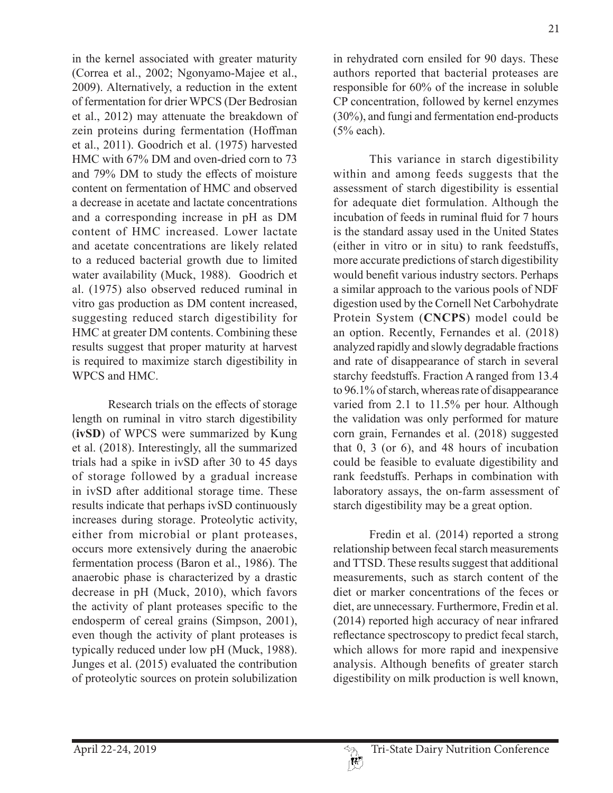in the kernel associated with greater maturity (Correa et al., 2002; Ngonyamo-Majee et al., 2009). Alternatively, a reduction in the extent of fermentation for drier WPCS (Der Bedrosian et al., 2012) may attenuate the breakdown of zein proteins during fermentation (Hoffman et al., 2011). Goodrich et al. (1975) harvested HMC with 67% DM and oven-dried corn to 73 and 79% DM to study the effects of moisture content on fermentation of HMC and observed a decrease in acetate and lactate concentrations and a corresponding increase in pH as DM content of HMC increased. Lower lactate and acetate concentrations are likely related to a reduced bacterial growth due to limited water availability (Muck, 1988). Goodrich et al. (1975) also observed reduced ruminal in vitro gas production as DM content increased, suggesting reduced starch digestibility for HMC at greater DM contents. Combining these results suggest that proper maturity at harvest is required to maximize starch digestibility in WPCS and HMC.

Research trials on the effects of storage length on ruminal in vitro starch digestibility (**ivSD**) of WPCS were summarized by Kung et al. (2018). Interestingly, all the summarized trials had a spike in ivSD after 30 to 45 days of storage followed by a gradual increase in ivSD after additional storage time. These results indicate that perhaps ivSD continuously increases during storage. Proteolytic activity, either from microbial or plant proteases, occurs more extensively during the anaerobic fermentation process (Baron et al., 1986). The anaerobic phase is characterized by a drastic decrease in pH (Muck, 2010), which favors the activity of plant proteases specific to the endosperm of cereal grains (Simpson, 2001), even though the activity of plant proteases is typically reduced under low pH (Muck, 1988). Junges et al. (2015) evaluated the contribution of proteolytic sources on protein solubilization 21

in rehydrated corn ensiled for 90 days. These authors reported that bacterial proteases are responsible for 60% of the increase in soluble CP concentration, followed by kernel enzymes (30%), and fungi and fermentation end-products (5% each).

This variance in starch digestibility within and among feeds suggests that the assessment of starch digestibility is essential for adequate diet formulation. Although the incubation of feeds in ruminal fluid for 7 hours is the standard assay used in the United States (either in vitro or in situ) to rank feedstuffs, more accurate predictions of starch digestibility would benefit various industry sectors. Perhaps a similar approach to the various pools of NDF digestion used by the Cornell Net Carbohydrate Protein System (**CNCPS**) model could be an option. Recently, Fernandes et al. (2018) analyzed rapidly and slowly degradable fractions and rate of disappearance of starch in several starchy feedstuffs. Fraction A ranged from 13.4 to 96.1% of starch, whereas rate of disappearance varied from 2.1 to 11.5% per hour. Although the validation was only performed for mature corn grain, Fernandes et al. (2018) suggested that 0, 3 (or 6), and 48 hours of incubation could be feasible to evaluate digestibility and rank feedstuffs. Perhaps in combination with laboratory assays, the on-farm assessment of starch digestibility may be a great option.

Fredin et al. (2014) reported a strong relationship between fecal starch measurements and TTSD. These results suggest that additional measurements, such as starch content of the diet or marker concentrations of the feces or diet, are unnecessary. Furthermore, Fredin et al. (2014) reported high accuracy of near infrared reflectance spectroscopy to predict fecal starch, which allows for more rapid and inexpensive analysis. Although benefits of greater starch digestibility on milk production is well known,

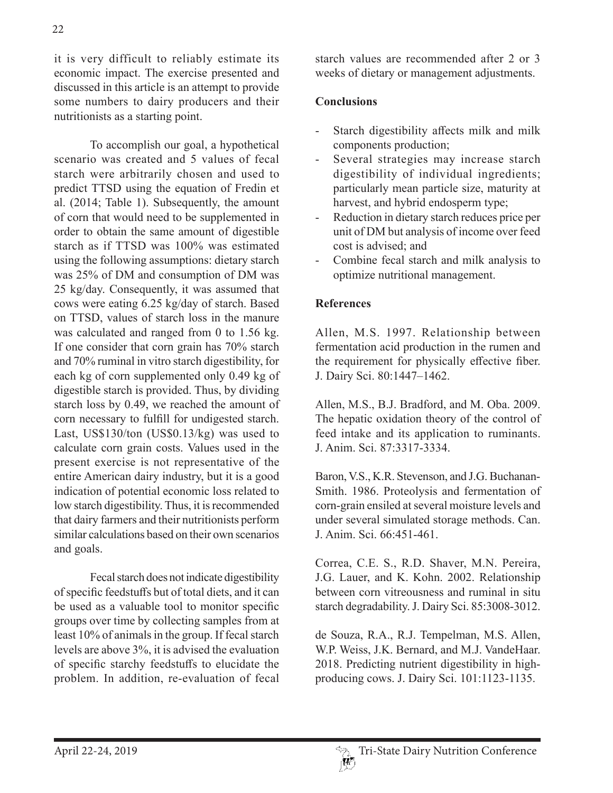it is very difficult to reliably estimate its economic impact. The exercise presented and discussed in this article is an attempt to provide some numbers to dairy producers and their nutritionists as a starting point.

To accomplish our goal, a hypothetical scenario was created and 5 values of fecal starch were arbitrarily chosen and used to predict TTSD using the equation of Fredin et al. (2014; Table 1). Subsequently, the amount of corn that would need to be supplemented in order to obtain the same amount of digestible starch as if TTSD was 100% was estimated using the following assumptions: dietary starch was 25% of DM and consumption of DM was 25 kg/day. Consequently, it was assumed that cows were eating 6.25 kg/day of starch. Based on TTSD, values of starch loss in the manure was calculated and ranged from 0 to 1.56 kg. If one consider that corn grain has 70% starch and 70% ruminal in vitro starch digestibility, for each kg of corn supplemented only 0.49 kg of digestible starch is provided. Thus, by dividing starch loss by 0.49, we reached the amount of corn necessary to fulfill for undigested starch. Last, US\$130/ton (US\$0.13/kg) was used to calculate corn grain costs. Values used in the present exercise is not representative of the entire American dairy industry, but it is a good indication of potential economic loss related to low starch digestibility. Thus, it is recommended that dairy farmers and their nutritionists perform similar calculations based on their own scenarios and goals.

Fecal starch does not indicate digestibility of specific feedstuffs but of total diets, and it can be used as a valuable tool to monitor specific groups over time by collecting samples from at least 10% of animals in the group. If fecal starch levels are above 3%, it is advised the evaluation of specific starchy feedstuffs to elucidate the problem. In addition, re-evaluation of fecal

starch values are recommended after 2 or 3 weeks of dietary or management adjustments.

### **Conclusions**

- Starch digestibility affects milk and milk components production;
- Several strategies may increase starch digestibility of individual ingredients; particularly mean particle size, maturity at harvest, and hybrid endosperm type;
- Reduction in dietary starch reduces price per unit of DM but analysis of income over feed cost is advised; and
- Combine fecal starch and milk analysis to optimize nutritional management.

## **References**

Allen, M.S. 1997. Relationship between fermentation acid production in the rumen and the requirement for physically effective fiber. J. Dairy Sci. 80:1447–1462.

Allen, M.S., B.J. Bradford, and M. Oba. 2009. The hepatic oxidation theory of the control of feed intake and its application to ruminants. J. Anim. Sci. 87:3317-3334.

Baron, V.S., K.R. Stevenson, and J.G. Buchanan-Smith. 1986. Proteolysis and fermentation of corn-grain ensiled at several moisture levels and under several simulated storage methods. Can. J. Anim. Sci. 66:451-461.

Correa, C.E. S., R.D. Shaver, M.N. Pereira, J.G. Lauer, and K. Kohn. 2002. Relationship between corn vitreousness and ruminal in situ starch degradability. J. Dairy Sci. 85:3008-3012.

de Souza, R.A., R.J. Tempelman, M.S. Allen, W.P. Weiss, J.K. Bernard, and M.J. VandeHaar. 2018. Predicting nutrient digestibility in highproducing cows. J. Dairy Sci. 101:1123-1135.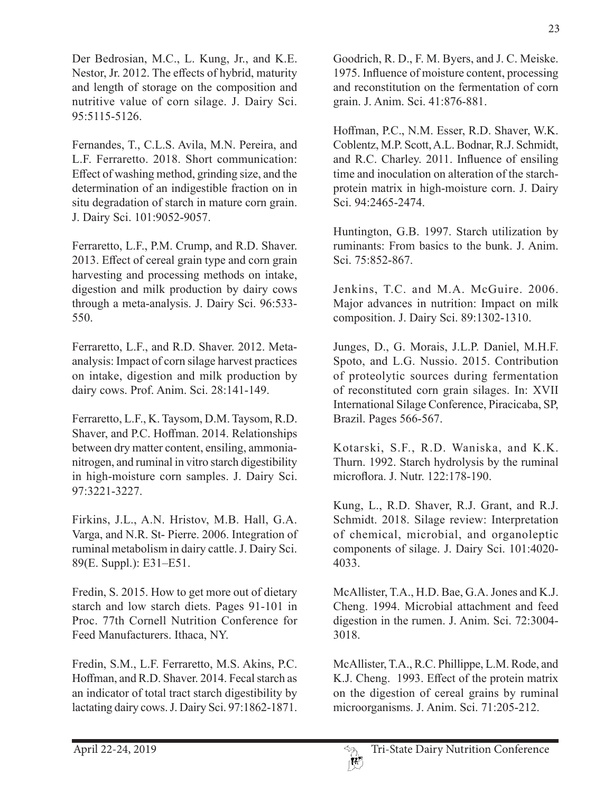Der Bedrosian, M.C., L. Kung, Jr., and K.E. Nestor, Jr. 2012. The effects of hybrid, maturity and length of storage on the composition and nutritive value of corn silage. J. Dairy Sci. 95:5115-5126.

Fernandes, T., C.L.S. Avila, M.N. Pereira, and L.F. Ferraretto. 2018. Short communication: Effect of washing method, grinding size, and the determination of an indigestible fraction on in situ degradation of starch in mature corn grain. J. Dairy Sci. 101:9052-9057.

Ferraretto, L.F., P.M. Crump, and R.D. Shaver. 2013. Effect of cereal grain type and corn grain harvesting and processing methods on intake, digestion and milk production by dairy cows through a meta-analysis. J. Dairy Sci. 96:533- 550.

Ferraretto, L.F., and R.D. Shaver. 2012. Metaanalysis: Impact of corn silage harvest practices on intake, digestion and milk production by dairy cows. Prof. Anim. Sci. 28:141-149.

Ferraretto, L.F., K. Taysom, D.M. Taysom, R.D. Shaver, and P.C. Hoffman. 2014. Relationships between dry matter content, ensiling, ammonianitrogen, and ruminal in vitro starch digestibility in high-moisture corn samples. J. Dairy Sci. 97:3221-3227.

Firkins, J.L., A.N. Hristov, M.B. Hall, G.A. Varga, and N.R. St- Pierre. 2006. Integration of ruminal metabolism in dairy cattle. J. Dairy Sci. 89(E. Suppl.): E31–E51.

Fredin, S. 2015. How to get more out of dietary starch and low starch diets. Pages 91-101 in Proc. 77th Cornell Nutrition Conference for Feed Manufacturers. Ithaca, NY.

Fredin, S.M., L.F. Ferraretto, M.S. Akins, P.C. Hoffman, and R.D. Shaver. 2014. Fecal starch as an indicator of total tract starch digestibility by lactating dairy cows. J. Dairy Sci. 97:1862-1871.

Goodrich, R. D., F. M. Byers, and J. C. Meiske. 1975. Influence of moisture content, processing and reconstitution on the fermentation of corn grain. J. Anim. Sci. 41:876-881.

Hoffman, P.C., N.M. Esser, R.D. Shaver, W.K. Coblentz, M.P. Scott, A.L. Bodnar, R.J. Schmidt, and R.C. Charley. 2011. Influence of ensiling time and inoculation on alteration of the starchprotein matrix in high-moisture corn. J. Dairy Sci. 94:2465-2474.

Huntington, G.B. 1997. Starch utilization by ruminants: From basics to the bunk. J. Anim. Sci. 75:852-867.

Jenkins, T.C. and M.A. McGuire. 2006. Major advances in nutrition: Impact on milk composition. J. Dairy Sci. 89:1302-1310.

Junges, D., G. Morais, J.L.P. Daniel, M.H.F. Spoto, and L.G. Nussio. 2015. Contribution of proteolytic sources during fermentation of reconstituted corn grain silages. In: XVII International Silage Conference, Piracicaba, SP, Brazil. Pages 566-567.

Kotarski, S.F., R.D. Waniska, and K.K. Thurn. 1992. Starch hydrolysis by the ruminal microflora. J. Nutr. 122:178-190.

Kung, L., R.D. Shaver, R.J. Grant, and R.J. Schmidt. 2018. Silage review: Interpretation of chemical, microbial, and organoleptic components of silage. J. Dairy Sci. 101:4020- 4033.

McAllister, T.A., H.D. Bae, G.A. Jones and K.J. Cheng. 1994. Microbial attachment and feed digestion in the rumen. J. Anim. Sci. 72:3004- 3018.

McAllister, T.A., R.C. Phillippe, L.M. Rode, and K.J. Cheng. 1993. Effect of the protein matrix on the digestion of cereal grains by ruminal microorganisms. J. Anim. Sci. 71:205-212.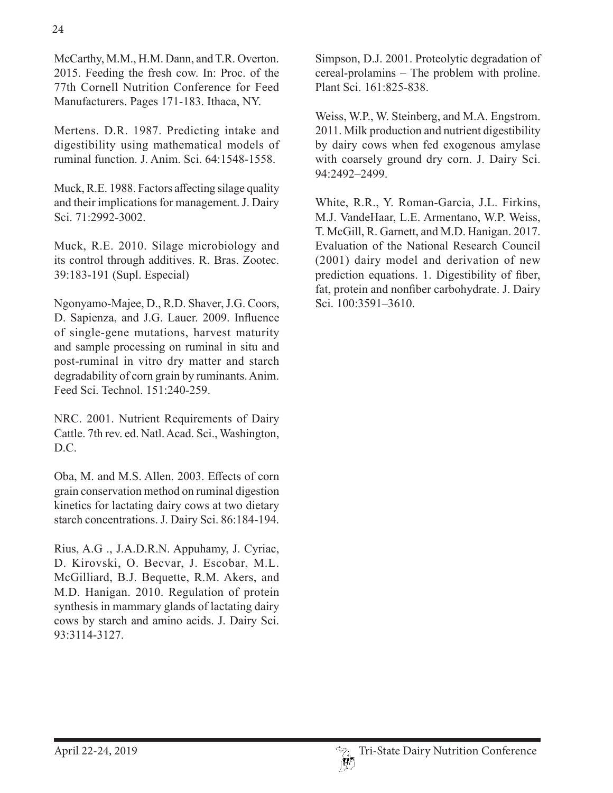McCarthy, M.M., H.M. Dann, and T.R. Overton. 2015. Feeding the fresh cow. In: Proc. of the 77th Cornell Nutrition Conference for Feed Manufacturers. Pages 171-183. Ithaca, NY.

Mertens. D.R. 1987. Predicting intake and digestibility using mathematical models of ruminal function. J. Anim. Sci. 64:1548-1558.

Muck, R.E. 1988. Factors affecting silage quality and their implications for management. J. Dairy Sci. 71:2992-3002.

Muck, R.E. 2010. Silage microbiology and its control through additives. R. Bras. Zootec. 39:183-191 (Supl. Especial)

Ngonyamo-Majee, D., R.D. Shaver, J.G. Coors, D. Sapienza, and J.G. Lauer. 2009. Influence of single-gene mutations, harvest maturity and sample processing on ruminal in situ and post-ruminal in vitro dry matter and starch degradability of corn grain by ruminants. Anim. Feed Sci. Technol. 151:240-259.

NRC. 2001. Nutrient Requirements of Dairy Cattle. 7th rev. ed. Natl. Acad. Sci., Washington, D.C.

Oba, M. and M.S. Allen. 2003. Effects of corn grain conservation method on ruminal digestion kinetics for lactating dairy cows at two dietary starch concentrations. J. Dairy Sci. 86:184-194.

Rius, A.G ., J.A.D.R.N. Appuhamy, J. Cyriac, D. Kirovski, O. Becvar, J. Escobar, M.L. McGilliard, B.J. Bequette, R.M. Akers, and M.D. Hanigan. 2010. Regulation of protein synthesis in mammary glands of lactating dairy cows by starch and amino acids. J. Dairy Sci. 93:3114-3127.

Simpson, D.J. 2001. Proteolytic degradation of cereal-prolamins – The problem with proline. Plant Sci. 161:825-838.

Weiss, W.P., W. Steinberg, and M.A. Engstrom. 2011. Milk production and nutrient digestibility by dairy cows when fed exogenous amylase with coarsely ground dry corn. J. Dairy Sci. 94:2492–2499.

White, R.R., Y. Roman-Garcia, J.L. Firkins, M.J. VandeHaar, L.E. Armentano, W.P. Weiss, T. McGill, R. Garnett, and M.D. Hanigan. 2017. Evaluation of the National Research Council (2001) dairy model and derivation of new prediction equations. 1. Digestibility of fiber, fat, protein and nonfiber carbohydrate. J. Dairy Sci. 100:3591–3610.